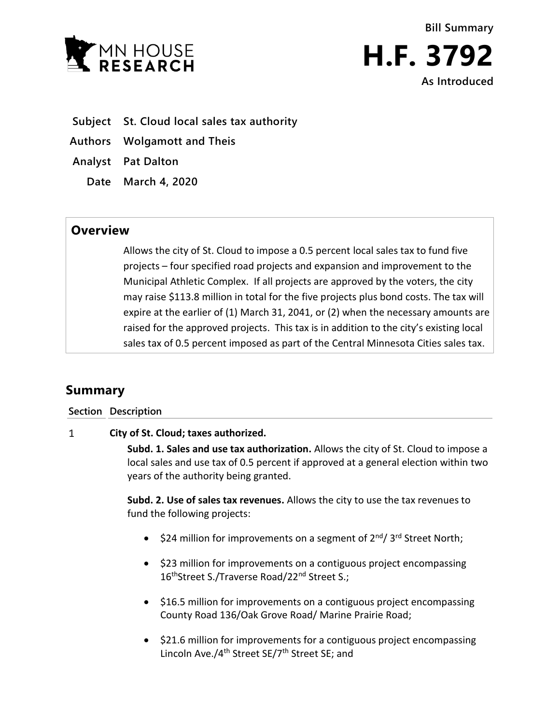



- **Subject St. Cloud local sales tax authority**
- **Authors Wolgamott and Theis**
- **Analyst Pat Dalton**
	- **Date March 4, 2020**

## **Overview**

Allows the city of St. Cloud to impose a 0.5 percent local sales tax to fund five projects – four specified road projects and expansion and improvement to the Municipal Athletic Complex. If all projects are approved by the voters, the city may raise \$113.8 million in total for the five projects plus bond costs. The tax will expire at the earlier of (1) March 31, 2041, or (2) when the necessary amounts are raised for the approved projects. This tax is in addition to the city's existing local sales tax of 0.5 percent imposed as part of the Central Minnesota Cities sales tax.

# **Summary**

### **Section Description**

#### $\mathbf{1}$ **City of St. Cloud; taxes authorized.**

**Subd. 1. Sales and use tax authorization.** Allows the city of St. Cloud to impose a local sales and use tax of 0.5 percent if approved at a general election within two years of the authority being granted.

**Subd. 2. Use of sales tax revenues.** Allows the city to use the tax revenues to fund the following projects:

- $\bullet$  \$24 million for improvements on a segment of  $2^{nd}/3^{rd}$  Street North;
- \$23 million for improvements on a contiguous project encompassing 16<sup>th</sup>Street S./Traverse Road/22<sup>nd</sup> Street S.;
- \$16.5 million for improvements on a contiguous project encompassing County Road 136/Oak Grove Road/ Marine Prairie Road;
- \$21.6 million for improvements for a contiguous project encompassing Lincoln Ave./4<sup>th</sup> Street SE/7<sup>th</sup> Street SE; and